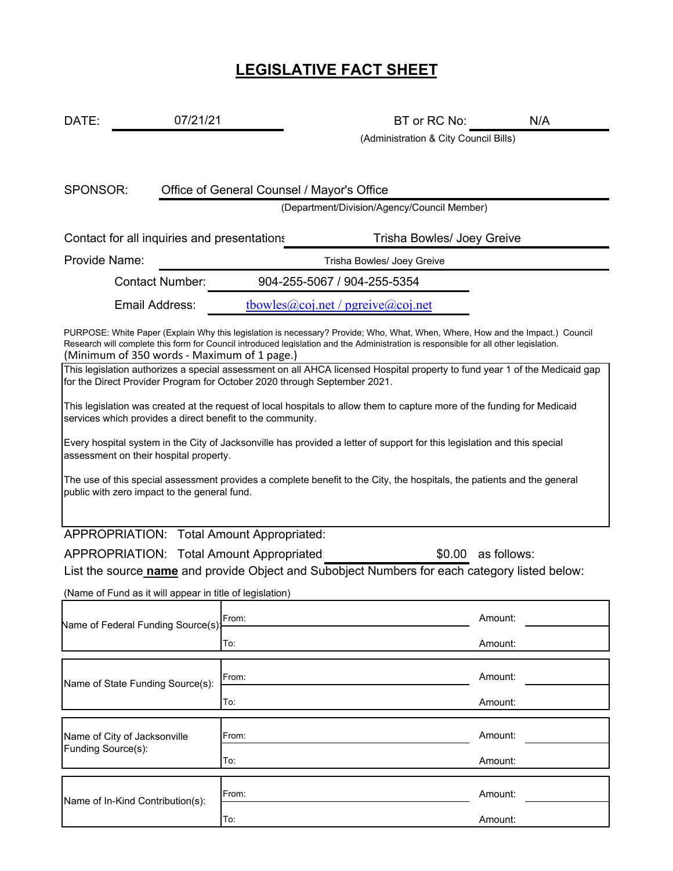# **LEGISLATIVE FACT SHEET**

DATE: 07/21/21 DATE: 07/21/21 DATE: BT or RC No: N/A

(Administration & City Council Bills)

Office of General Counsel / Mayor's Office

(Department/Division/Agency/Council Member)

Contact for all inquiries and presentations Trisha Bowles/ Joey Greive

Provide Name: Trisha Bowles/ Joey Greive

SPONSOR:

Contact Number: 904-255-5067 / 904-255-5354

Email Address: tbowles@coj.net / pgreive@coj.net

(Minimum of 350 words ‐ Maximum of 1 page.) PURPOSE: White Paper (Explain Why this legislation is necessary? Provide; Who, What, When, Where, How and the Impact.) Council Research will complete this form for Council introduced legislation and the Administration is responsible for all other legislation.

This legislation authorizes a special assessment on all AHCA licensed Hospital property to fund year 1 of the Medicaid gap for the Direct Provider Program for October 2020 through September 2021.

This legislation was created at the request of local hospitals to allow them to capture more of the funding for Medicaid services which provides a direct benefit to the community.

Every hospital system in the City of Jacksonville has provided a letter of support for this legislation and this special assessment on their hospital property.

The use of this special assessment provides a complete benefit to the City, the hospitals, the patients and the general public with zero impact to the general fund.

APPROPRIATION: Total Amount Appropriated:

APPROPRIATION: Total Amount Appropriated: \$0.00 as follows: List the source **name** and provide Object and Subobject Numbers for each category listed below:

(Name of Fund as it will appear in title of legislation)

| Name of Federal Funding Source(s):                 | From: | Amount: |  |  |
|----------------------------------------------------|-------|---------|--|--|
|                                                    | To:   | Amount: |  |  |
|                                                    |       |         |  |  |
| Name of State Funding Source(s):                   | From: | Amount: |  |  |
|                                                    | To:   | Amount: |  |  |
|                                                    |       |         |  |  |
| Name of City of Jacksonville<br>Funding Source(s): | From: | Amount: |  |  |
|                                                    | To:   | Amount: |  |  |
|                                                    |       |         |  |  |
| Name of In-Kind Contribution(s):                   | From: | Amount: |  |  |
|                                                    | To:   | Amount: |  |  |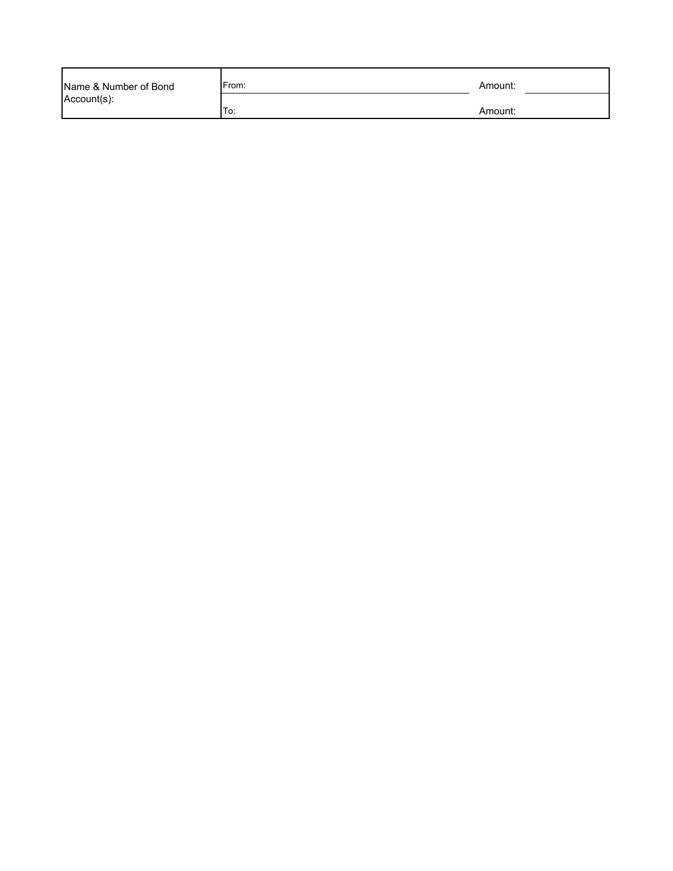| Name & Number of Bond | From: | Amount: |
|-----------------------|-------|---------|
| Account(s):           | To:   | Amount: |
|                       |       |         |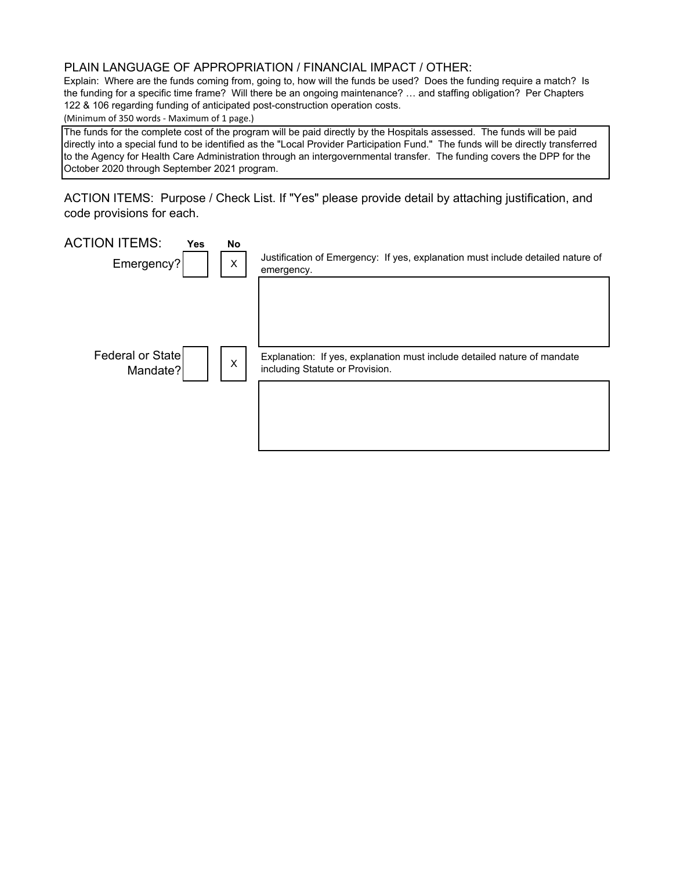#### PLAIN LANGUAGE OF APPROPRIATION / FINANCIAL IMPACT / OTHER:

Explain: Where are the funds coming from, going to, how will the funds be used? Does the funding require a match? Is the funding for a specific time frame? Will there be an ongoing maintenance? … and staffing obligation? Per Chapters 122 & 106 regarding funding of anticipated post-construction operation costs.

(Minimum of 350 words ‐ Maximum of 1 page.)

The funds for the complete cost of the program will be paid directly by the Hospitals assessed. The funds will be paid directly into a special fund to be identified as the "Local Provider Participation Fund." The funds will be directly transferred to the Agency for Health Care Administration through an intergovernmental transfer. The funding covers the DPP for the October 2020 through September 2021 program.

ACTION ITEMS: Purpose / Check List. If "Yes" please provide detail by attaching justification, and code provisions for each.

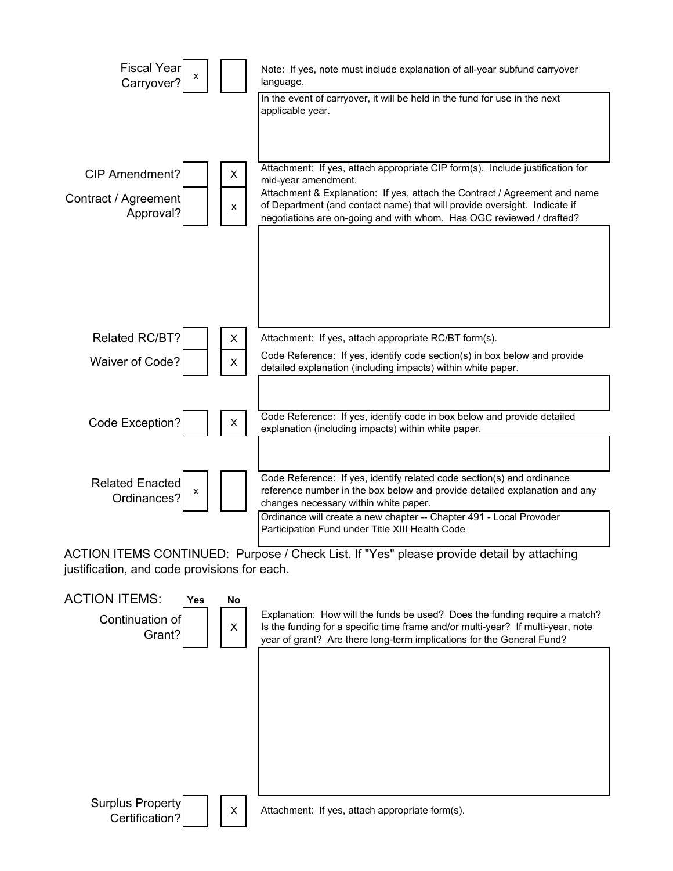

ACTION ITEMS CONTINUED: Purpose / Check List. If "Yes" please provide detail by attaching justification, and code provisions for each.

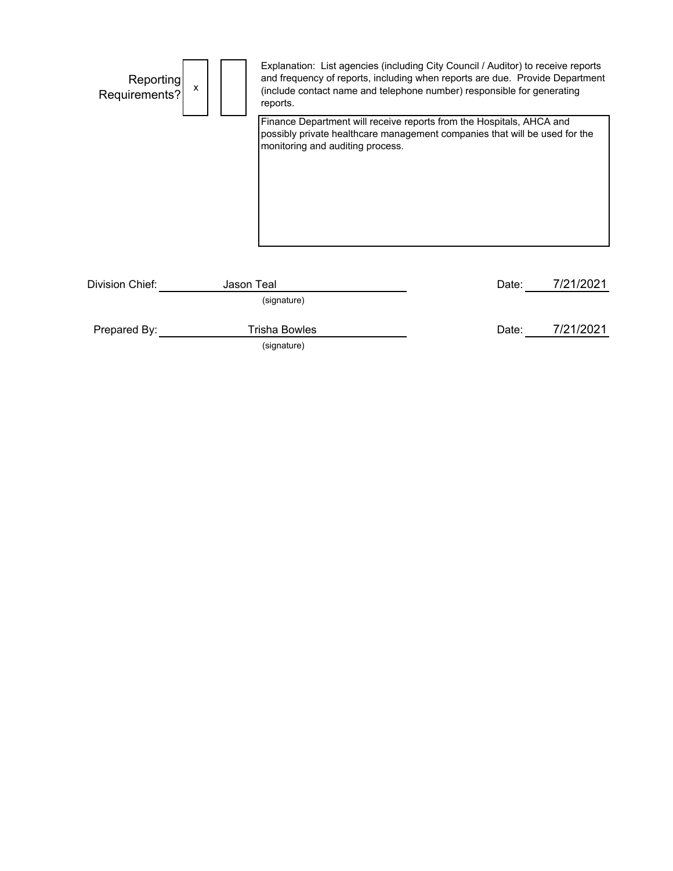| Reporting<br>Requirements? | x          | Explanation: List agencies (including City Council / Auditor) to receive reports<br>and frequency of reports, including when reports are due. Provide Department<br>(include contact name and telephone number) responsible for generating<br>reports. |       |           |
|----------------------------|------------|--------------------------------------------------------------------------------------------------------------------------------------------------------------------------------------------------------------------------------------------------------|-------|-----------|
|                            |            | Finance Department will receive reports from the Hospitals, AHCA and<br>possibly private healthcare management companies that will be used for the<br>monitoring and auditing process.                                                                 |       |           |
| Division Chief:            | Jason Teal | (signature)                                                                                                                                                                                                                                            | Date: | 7/21/2021 |
| Prepared By:               |            | <b>Trisha Bowles</b><br>(signature)                                                                                                                                                                                                                    | Date: | 7/21/2021 |